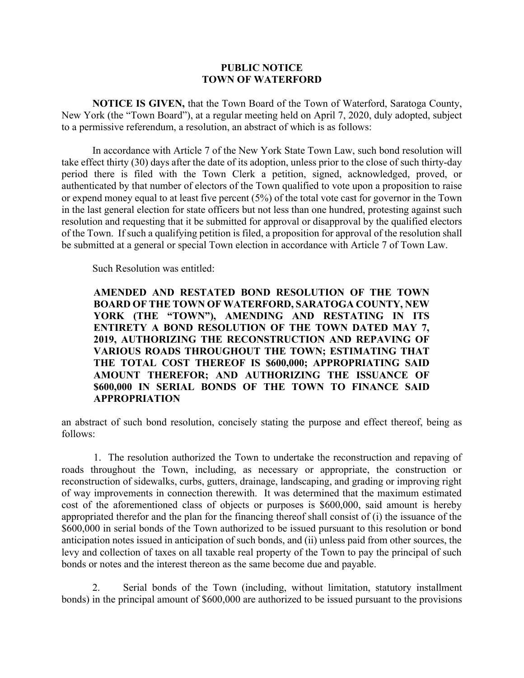## **PUBLIC NOTICE TOWN OF WATERFORD**

**NOTICE IS GIVEN,** that the Town Board of the Town of Waterford, Saratoga County, New York (the "Town Board"), at a regular meeting held on April 7, 2020, duly adopted, subject to a permissive referendum, a resolution, an abstract of which is as follows:

In accordance with Article 7 of the New York State Town Law, such bond resolution will take effect thirty (30) days after the date of its adoption, unless prior to the close of such thirty-day period there is filed with the Town Clerk a petition, signed, acknowledged, proved, or authenticated by that number of electors of the Town qualified to vote upon a proposition to raise or expend money equal to at least five percent (5%) of the total vote cast for governor in the Town in the last general election for state officers but not less than one hundred, protesting against such resolution and requesting that it be submitted for approval or disapproval by the qualified electors of the Town. If such a qualifying petition is filed, a proposition for approval of the resolution shall be submitted at a general or special Town election in accordance with Article 7 of Town Law.

Such Resolution was entitled:

**AMENDED AND RESTATED BOND RESOLUTION OF THE TOWN BOARD OF THE TOWN OF WATERFORD, SARATOGA COUNTY, NEW YORK (THE "TOWN"), AMENDING AND RESTATING IN ITS ENTIRETY A BOND RESOLUTION OF THE TOWN DATED MAY 7, 2019, AUTHORIZING THE RECONSTRUCTION AND REPAVING OF VARIOUS ROADS THROUGHOUT THE TOWN; ESTIMATING THAT THE TOTAL COST THEREOF IS \$600,000; APPROPRIATING SAID AMOUNT THEREFOR; AND AUTHORIZING THE ISSUANCE OF \$600,000 IN SERIAL BONDS OF THE TOWN TO FINANCE SAID APPROPRIATION** 

an abstract of such bond resolution, concisely stating the purpose and effect thereof, being as follows:

1. The resolution authorized the Town to undertake the reconstruction and repaving of roads throughout the Town, including, as necessary or appropriate, the construction or reconstruction of sidewalks, curbs, gutters, drainage, landscaping, and grading or improving right of way improvements in connection therewith. It was determined that the maximum estimated cost of the aforementioned class of objects or purposes is \$600,000, said amount is hereby appropriated therefor and the plan for the financing thereof shall consist of (i) the issuance of the \$600,000 in serial bonds of the Town authorized to be issued pursuant to this resolution or bond anticipation notes issued in anticipation of such bonds, and (ii) unless paid from other sources, the levy and collection of taxes on all taxable real property of the Town to pay the principal of such bonds or notes and the interest thereon as the same become due and payable.

 2. Serial bonds of the Town (including, without limitation, statutory installment bonds) in the principal amount of \$600,000 are authorized to be issued pursuant to the provisions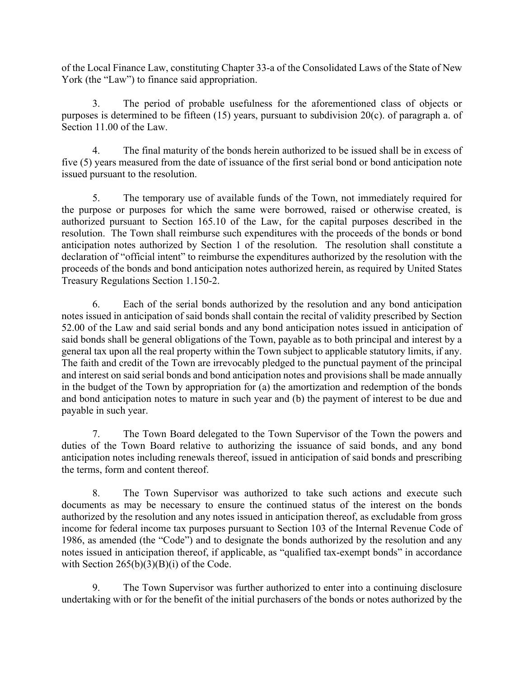of the Local Finance Law, constituting Chapter 33-a of the Consolidated Laws of the State of New York (the "Law") to finance said appropriation.

3. The period of probable usefulness for the aforementioned class of objects or purposes is determined to be fifteen (15) years, pursuant to subdivision 20(c). of paragraph a. of Section 11.00 of the Law.

4. The final maturity of the bonds herein authorized to be issued shall be in excess of five (5) years measured from the date of issuance of the first serial bond or bond anticipation note issued pursuant to the resolution.

5. The temporary use of available funds of the Town, not immediately required for the purpose or purposes for which the same were borrowed, raised or otherwise created, is authorized pursuant to Section 165.10 of the Law, for the capital purposes described in the resolution. The Town shall reimburse such expenditures with the proceeds of the bonds or bond anticipation notes authorized by Section 1 of the resolution. The resolution shall constitute a declaration of "official intent" to reimburse the expenditures authorized by the resolution with the proceeds of the bonds and bond anticipation notes authorized herein, as required by United States Treasury Regulations Section 1.150-2.

6. Each of the serial bonds authorized by the resolution and any bond anticipation notes issued in anticipation of said bonds shall contain the recital of validity prescribed by Section 52.00 of the Law and said serial bonds and any bond anticipation notes issued in anticipation of said bonds shall be general obligations of the Town, payable as to both principal and interest by a general tax upon all the real property within the Town subject to applicable statutory limits, if any. The faith and credit of the Town are irrevocably pledged to the punctual payment of the principal and interest on said serial bonds and bond anticipation notes and provisions shall be made annually in the budget of the Town by appropriation for (a) the amortization and redemption of the bonds and bond anticipation notes to mature in such year and (b) the payment of interest to be due and payable in such year.

7. The Town Board delegated to the Town Supervisor of the Town the powers and duties of the Town Board relative to authorizing the issuance of said bonds, and any bond anticipation notes including renewals thereof, issued in anticipation of said bonds and prescribing the terms, form and content thereof.

8. The Town Supervisor was authorized to take such actions and execute such documents as may be necessary to ensure the continued status of the interest on the bonds authorized by the resolution and any notes issued in anticipation thereof, as excludable from gross income for federal income tax purposes pursuant to Section 103 of the Internal Revenue Code of 1986, as amended (the "Code") and to designate the bonds authorized by the resolution and any notes issued in anticipation thereof, if applicable, as "qualified tax-exempt bonds" in accordance with Section  $265(b)(3)(B)(i)$  of the Code.

9. The Town Supervisor was further authorized to enter into a continuing disclosure undertaking with or for the benefit of the initial purchasers of the bonds or notes authorized by the